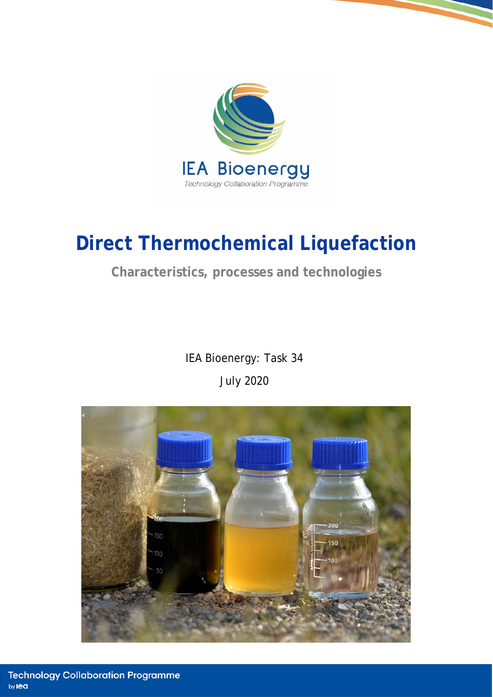

# **Direct Thermochemical Liquefaction**

### **Characteristics, processes and technologies**

IEA Bioenergy: Task 34 July 2020

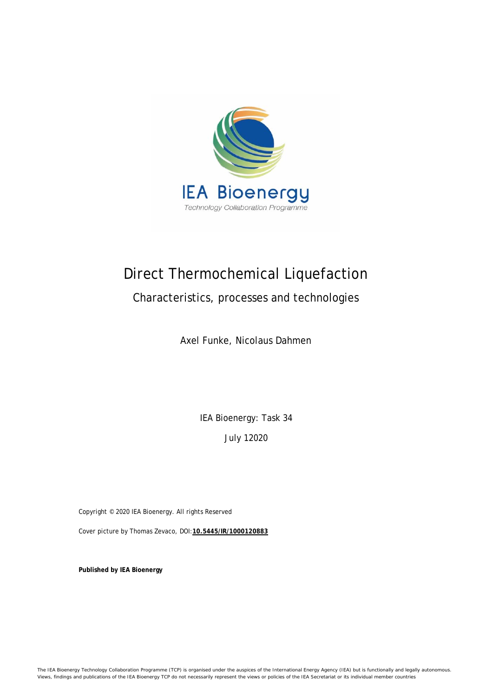

## Direct Thermochemical Liquefaction

### Characteristics, processes and technologies

Axel Funke, Nicolaus Dahmen

IEA Bioenergy: Task 34

July 12020

Copyright © 2020 IEA Bioenergy. All rights Reserved

Cover picture by Thomas Zevaco, DOI:**10.5445/IR/1000120883**

**Published by IEA Bioenergy**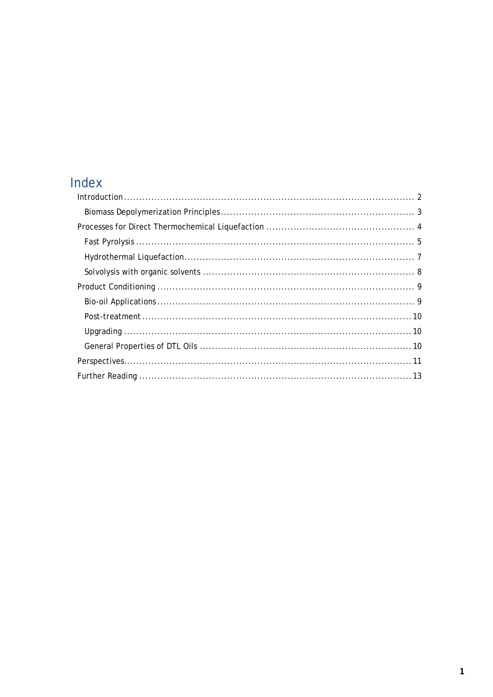## Index

| $Introduction \dots 2$ |  |
|------------------------|--|
|                        |  |
|                        |  |
|                        |  |
|                        |  |
|                        |  |
|                        |  |
|                        |  |
|                        |  |
|                        |  |
|                        |  |
|                        |  |
|                        |  |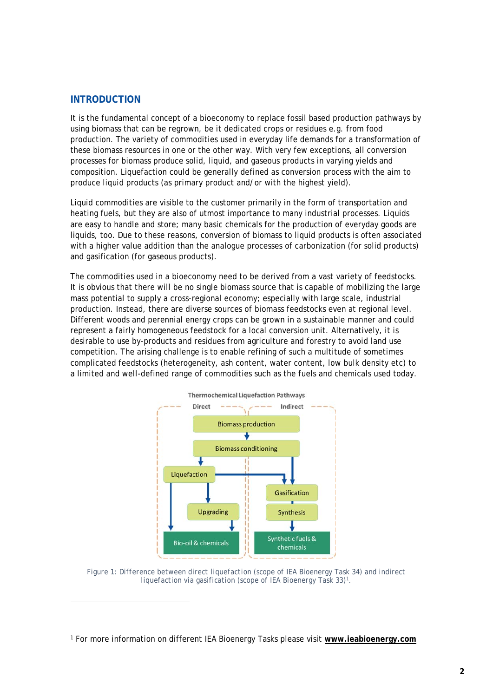#### **INTRODUCTION**

1

It is the fundamental concept of a bioeconomy to replace fossil based production pathways by using biomass that can be regrown, be it dedicated crops or residues e.g. from food production. The variety of commodities used in everyday life demands for a transformation of these biomass resources in one or the other way. With very few exceptions, all conversion processes for biomass produce solid, liquid, and gaseous products in varying yields and composition. Liquefaction could be generally defined as conversion process with the aim to produce liquid products (as primary product and/or with the highest yield).

Liquid commodities are visible to the customer primarily in the form of transportation and heating fuels, but they are also of utmost importance to many industrial processes. Liquids are easy to handle and store; many basic chemicals for the production of everyday goods are liquids, too. Due to these reasons, conversion of biomass to liquid products is often associated with a higher value addition than the analogue processes of carbonization (for solid products) and gasification (for gaseous products).

The commodities used in a bioeconomy need to be derived from a vast variety of feedstocks. It is obvious that there will be no single biomass source that is capable of mobilizing the large mass potential to supply a cross-regional economy; especially with large scale, industrial production. Instead, there are diverse sources of biomass feedstocks even at regional level. Different woods and perennial energy crops can be grown in a sustainable manner and could represent a fairly homogeneous feedstock for a local conversion unit. Alternatively, it is desirable to use by-products and residues from agriculture and forestry to avoid land use competition. The arising challenge is to enable refining of such a multitude of sometimes complicated feedstocks (heterogeneity, ash content, water content, low bulk density etc) to a limited and well-defined range of commodities such as the fuels and chemicals used today.



*Figure 1: Difference between direct liquefaction (scope of IEA Bioenergy Task 34) and indirect liquefaction via gasification (scope of IEA Bioenergy Task 33)1.* 

1 For more information on different IEA Bioenergy Tasks please visit **www.ieabioenergy.com**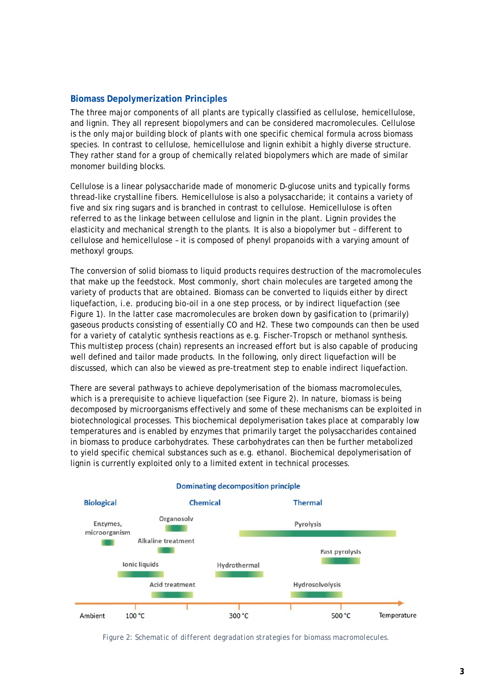#### **Biomass Depolymerization Principles**

The three major components of all plants are typically classified as cellulose, hemicellulose, and lignin. They all represent biopolymers and can be considered macromolecules. Cellulose is the only major building block of plants with one specific chemical formula across biomass species. In contrast to cellulose, hemicellulose and lignin exhibit a highly diverse structure. They rather stand for a group of chemically related biopolymers which are made of similar monomer building blocks.

Cellulose is a linear polysaccharide made of monomeric D-glucose units and typically forms thread-like crystalline fibers. Hemicellulose is also a polysaccharide; it contains a variety of five and six ring sugars and is branched in contrast to cellulose. Hemicellulose is often referred to as the linkage between cellulose and lignin in the plant. Lignin provides the elasticity and mechanical strength to the plants. It is also a biopolymer but – different to cellulose and hemicellulose – it is composed of phenyl propanoids with a varying amount of methoxyl groups.

The conversion of solid biomass to liquid products requires destruction of the macromolecules that make up the feedstock. Most commonly, short chain molecules are targeted among the variety of products that are obtained. Biomass can be converted to liquids either by direct liquefaction, i.e. producing bio-oil in a one step process, or by indirect liquefaction (see Figure 1). In the latter case macromolecules are broken down by gasification to (primarily) gaseous products consisting of essentially CO and H2. These two compounds can then be used for a variety of catalytic synthesis reactions as e.g. Fischer-Tropsch or methanol synthesis. This multistep process (chain) represents an increased effort but is also capable of producing well defined and tailor made products. In the following, only direct liquefaction will be discussed, which can also be viewed as pre-treatment step to enable indirect liquefaction.

There are several pathways to achieve depolymerisation of the biomass macromolecules, which is a prerequisite to achieve liquefaction (see Figure 2). In nature, biomass is being decomposed by microorganisms effectively and some of these mechanisms can be exploited in biotechnological processes. This biochemical depolymerisation takes place at comparably low temperatures and is enabled by enzymes that primarily target the polysaccharides contained in biomass to produce carbohydrates. These carbohydrates can then be further metabolized to yield specific chemical substances such as e.g. ethanol. Biochemical depolymerisation of lignin is currently exploited only to a limited extent in technical processes.



#### **Dominating decomposition principle**

*Figure 2: Schematic of different degradation strategies for biomass macromolecules.*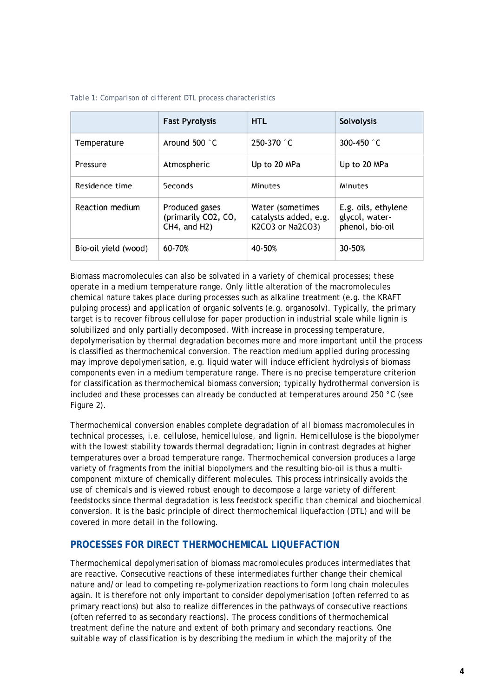|                      | <b>Fast Pyrolysis</b>                                 | <b>HTL</b>                                                    | <b>Solvolysis</b>                                        |
|----------------------|-------------------------------------------------------|---------------------------------------------------------------|----------------------------------------------------------|
| Temperature          | Around 500 $^{\circ}$ C                               | 250-370 °C                                                    | 300-450 °C                                               |
| Pressure             | Atmospheric                                           | Up to 20 MPa                                                  | Up to 20 MPa                                             |
| Residence time       | Seconds                                               | Minutes                                                       | Minutes                                                  |
| Reaction medium      | Produced gases<br>(primarily CO2, CO,<br>CH4, and H2) | Water (sometimes<br>catalysts added, e.g.<br>K2CO3 or Na2CO3) | E.g. oils, ethylene<br>glycol, water-<br>phenol, bio-oil |
| Bio-oil yield (wood) | 60-70%                                                | 40-50%                                                        | 30-50%                                                   |

#### *Table 1: Comparison of different DTL process characteristics*

Biomass macromolecules can also be solvated in a variety of chemical processes; these operate in a medium temperature range. Only little alteration of the macromolecules chemical nature takes place during processes such as alkaline treatment (e.g. the KRAFT pulping process) and application of organic solvents (e.g. organosolv). Typically, the primary target is to recover fibrous cellulose for paper production in industrial scale while lignin is solubilized and only partially decomposed. With increase in processing temperature, depolymerisation by thermal degradation becomes more and more important until the process is classified as thermochemical conversion. The reaction medium applied during processing may improve depolymerisation, e.g. liquid water will induce efficient hydrolysis of biomass components even in a medium temperature range. There is no precise temperature criterion for classification as thermochemical biomass conversion; typically hydrothermal conversion is included and these processes can already be conducted at temperatures around 250 °C (see Figure 2).

Thermochemical conversion enables complete degradation of all biomass macromolecules in technical processes, i.e. cellulose, hemicellulose, and lignin. Hemicellulose is the biopolymer with the lowest stability towards thermal degradation; lignin in contrast degrades at higher temperatures over a broad temperature range. Thermochemical conversion produces a large variety of fragments from the initial biopolymers and the resulting bio-oil is thus a multicomponent mixture of chemically different molecules. This process intrinsically avoids the use of chemicals and is viewed robust enough to decompose a large variety of different feedstocks since thermal degradation is less feedstock specific than chemical and biochemical conversion. It is the basic principle of direct thermochemical liquefaction (DTL) and will be covered in more detail in the following.

#### **PROCESSES FOR DIRECT THERMOCHEMICAL LIQUEFACTION**

Thermochemical depolymerisation of biomass macromolecules produces intermediates that are reactive. Consecutive reactions of these intermediates further change their chemical nature and/or lead to competing re-polymerization reactions to form long chain molecules again. It is therefore not only important to consider depolymerisation (often referred to as primary reactions) but also to realize differences in the pathways of consecutive reactions (often referred to as secondary reactions). The process conditions of thermochemical treatment define the nature and extent of both primary and secondary reactions. One suitable way of classification is by describing the medium in which the majority of the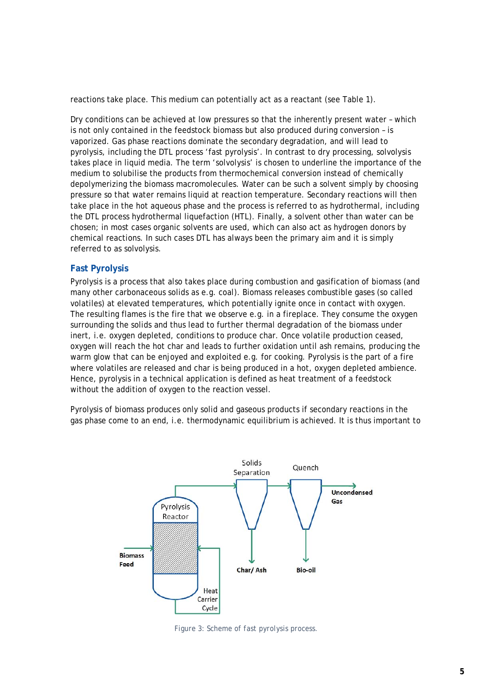reactions take place. This medium can potentially act as a reactant (see Table 1).

Dry conditions can be achieved at low pressures so that the inherently present water – which is not only contained in the feedstock biomass but also produced during conversion – is vaporized. Gas phase reactions dominate the secondary degradation, and will lead to pyrolysis, including the DTL process 'fast pyrolysis'. In contrast to dry processing, solvolysis takes place in liquid media. The term 'solvolysis' is chosen to underline the importance of the medium to solubilise the products from thermochemical conversion instead of chemically depolymerizing the biomass macromolecules. Water can be such a solvent simply by choosing pressure so that water remains liquid at reaction temperature. Secondary reactions will then take place in the hot aqueous phase and the process is referred to as hydrothermal, including the DTL process hydrothermal liquefaction (HTL). Finally, a solvent other than water can be chosen; in most cases organic solvents are used, which can also act as hydrogen donors by chemical reactions. In such cases DTL has always been the primary aim and it is simply referred to as solvolysis.

#### **Fast Pyrolysis**

Pyrolysis is a process that also takes place during combustion and gasification of biomass (and many other carbonaceous solids as e.g. coal). Biomass releases combustible gases (so called volatiles) at elevated temperatures, which potentially ignite once in contact with oxygen. The resulting flames is the fire that we observe e.g. in a fireplace. They consume the oxygen surrounding the solids and thus lead to further thermal degradation of the biomass under inert, i.e. oxygen depleted, conditions to produce char. Once volatile production ceased, oxygen will reach the hot char and leads to further oxidation until ash remains, producing the warm glow that can be enjoyed and exploited e.g. for cooking. Pyrolysis is the part of a fire where volatiles are released and char is being produced in a hot, oxygen depleted ambience. Hence, pyrolysis in a technical application is defined as heat treatment of a feedstock without the addition of oxygen to the reaction vessel.

Pyrolysis of biomass produces only solid and gaseous products if secondary reactions in the gas phase come to an end, i.e. thermodynamic equilibrium is achieved. It is thus important to



*Figure 3: Scheme of fast pyrolysis process.*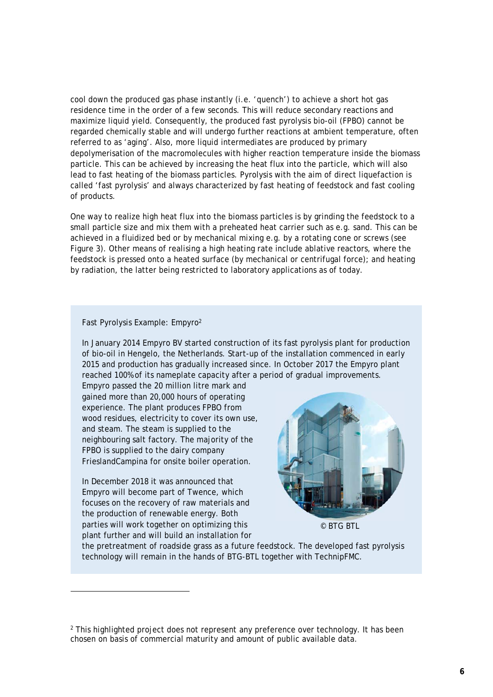cool down the produced gas phase instantly (i.e. 'quench') to achieve a short hot gas residence time in the order of a few seconds. This will reduce secondary reactions and maximize liquid yield. Consequently, the produced fast pyrolysis bio-oil (FPBO) cannot be regarded chemically stable and will undergo further reactions at ambient temperature, often referred to as 'aging'. Also, more liquid intermediates are produced by primary depolymerisation of the macromolecules with higher reaction temperature inside the biomass particle. This can be achieved by increasing the heat flux into the particle, which will also lead to fast heating of the biomass particles. Pyrolysis with the aim of direct liquefaction is called 'fast pyrolysis' and always characterized by fast heating of feedstock and fast cooling of products.

One way to realize high heat flux into the biomass particles is by grinding the feedstock to a small particle size and mix them with a preheated heat carrier such as e.g. sand. This can be achieved in a fluidized bed or by mechanical mixing e.g. by a rotating cone or screws (see Figure 3). Other means of realising a high heating rate include ablative reactors, where the feedstock is pressed onto a heated surface (by mechanical or centrifugal force); and heating by radiation, the latter being restricted to laboratory applications as of today.

#### Fast Pyrolysis Example: Empyro2

In January 2014 Empyro BV started construction of its fast pyrolysis plant for production of bio-oil in Hengelo, the Netherlands. Start-up of the installation commenced in early 2015 and production has gradually increased since. In October 2017 the Empyro plant reached 100% of its nameplate capacity after a period of gradual improvements.

Empyro passed the 20 million litre mark and gained more than 20,000 hours of operating experience. The plant produces FPBO from wood residues, electricity to cover its own use, and steam. The steam is supplied to the neighbouring salt factory. The majority of the FPBO is supplied to the dairy company FrieslandCampina for onsite boiler operation.

In December 2018 it was announced that Empyro will become part of Twence, which focuses on the recovery of raw materials and the production of renewable energy. Both parties will work together on optimizing this plant further and will build an installation for

1



© BTG BTL

the pretreatment of roadside grass as a future feedstock. The developed fast pyrolysis technology will remain in the hands of BTG-BTL together with TechnipFMC.

<sup>&</sup>lt;sup>2</sup> This highlighted project does not represent any preference over technology. It has been chosen on basis of commercial maturity and amount of public available data.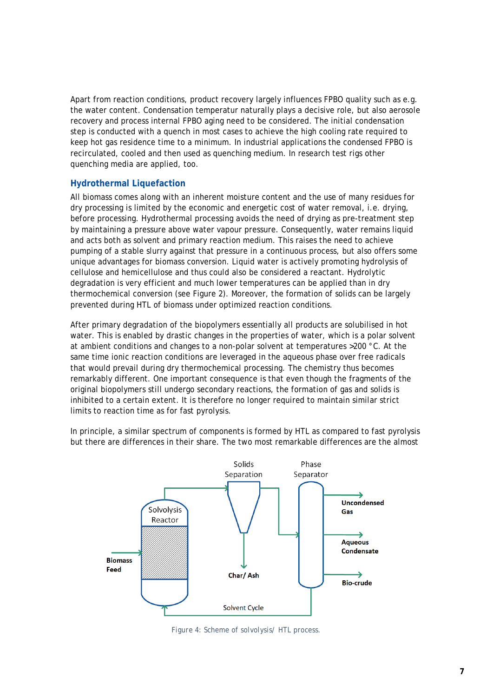Apart from reaction conditions, product recovery largely influences FPBO quality such as e.g. the water content. Condensation temperatur naturally plays a decisive role, but also aerosole recovery and process internal FPBO aging need to be considered. The initial condensation step is conducted with a quench in most cases to achieve the high cooling rate required to keep hot gas residence time to a minimum. In industrial applications the condensed FPBO is recirculated, cooled and then used as quenching medium. In research test rigs other quenching media are applied, too.

#### **Hydrothermal Liquefaction**

All biomass comes along with an inherent moisture content and the use of many residues for dry processing is limited by the economic and energetic cost of water removal, i.e. drying, before processing. Hydrothermal processing avoids the need of drying as pre-treatment step by maintaining a pressure above water vapour pressure. Consequently, water remains liquid and acts both as solvent and primary reaction medium. This raises the need to achieve pumping of a stable slurry against that pressure in a continuous process, but also offers some unique advantages for biomass conversion. Liquid water is actively promoting hydrolysis of cellulose and hemicellulose and thus could also be considered a reactant. Hydrolytic degradation is very efficient and much lower temperatures can be applied than in dry thermochemical conversion (see Figure 2). Moreover, the formation of solids can be largely prevented during HTL of biomass under optimized reaction conditions.

After primary degradation of the biopolymers essentially all products are solubilised in hot water. This is enabled by drastic changes in the properties of water, which is a polar solvent at ambient conditions and changes to a non-polar solvent at temperatures >200 °C. At the same time ionic reaction conditions are leveraged in the aqueous phase over free radicals that would prevail during dry thermochemical processing. The chemistry thus becomes remarkably different. One important consequence is that even though the fragments of the original biopolymers still undergo secondary reactions, the formation of gas and solids is inhibited to a certain extent. It is therefore no longer required to maintain similar strict limits to reaction time as for fast pyrolysis.

In principle, a similar spectrum of components is formed by HTL as compared to fast pyrolysis but there are differences in their share. The two most remarkable differences are the almost



*Figure 4: Scheme of solvolysis/ HTL process.*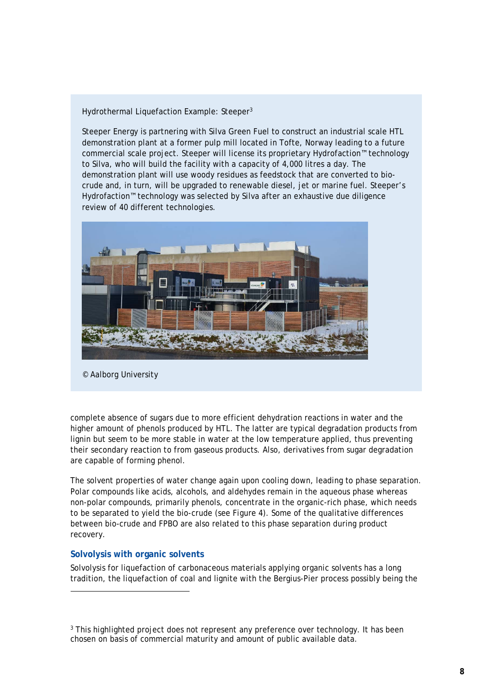#### Hydrothermal Liquefaction Example: Steeper<sup>3</sup>

Steeper Energy is partnering with Silva Green Fuel to construct an industrial scale HTL demonstration plant at a former pulp mill located in Tofte, Norway leading to a future commercial scale project. Steeper will license its proprietary Hydrofaction™ technology to Silva, who will build the facility with a capacity of 4,000 litres a day. The demonstration plant will use woody residues as feedstock that are converted to biocrude and, in turn, will be upgraded to renewable diesel, jet or marine fuel. Steeper's Hydrofaction™ technology was selected by Silva after an exhaustive due diligence review of 40 different technologies.



© Aalborg University

complete absence of sugars due to more efficient dehydration reactions in water and the higher amount of phenols produced by HTL. The latter are typical degradation products from lignin but seem to be more stable in water at the low temperature applied, thus preventing their secondary reaction to from gaseous products. Also, derivatives from sugar degradation are capable of forming phenol.

The solvent properties of water change again upon cooling down, leading to phase separation. Polar compounds like acids, alcohols, and aldehydes remain in the aqueous phase whereas non-polar compounds, primarily phenols, concentrate in the organic-rich phase, which needs to be separated to yield the bio-crude (see Figure 4). Some of the qualitative differences between bio-crude and FPBO are also related to this phase separation during product recovery.

#### **Solvolysis with organic solvents**

1

Solvolysis for liquefaction of carbonaceous materials applying organic solvents has a long tradition, the liquefaction of coal and lignite with the Bergius-Pier process possibly being the

<sup>&</sup>lt;sup>3</sup> This highlighted project does not represent any preference over technology. It has been chosen on basis of commercial maturity and amount of public available data.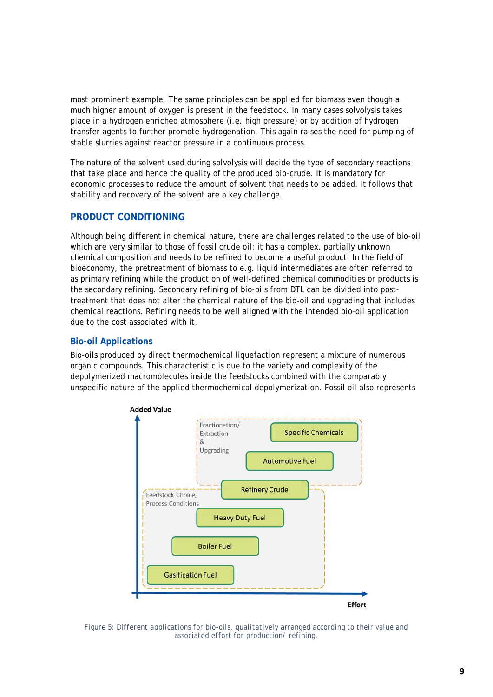most prominent example. The same principles can be applied for biomass even though a much higher amount of oxygen is present in the feedstock. In many cases solvolysis takes place in a hydrogen enriched atmosphere (i.e. high pressure) or by addition of hydrogen transfer agents to further promote hydrogenation. This again raises the need for pumping of stable slurries against reactor pressure in a continuous process.

The nature of the solvent used during solvolysis will decide the type of secondary reactions that take place and hence the quality of the produced bio-crude. It is mandatory for economic processes to reduce the amount of solvent that needs to be added. It follows that stability and recovery of the solvent are a key challenge.

#### **PRODUCT CONDITIONING**

Although being different in chemical nature, there are challenges related to the use of bio-oil which are very similar to those of fossil crude oil: it has a complex, partially unknown chemical composition and needs to be refined to become a useful product. In the field of bioeconomy, the pretreatment of biomass to e.g. liquid intermediates are often referred to as primary refining while the production of well-defined chemical commodities or products is the secondary refining. Secondary refining of bio-oils from DTL can be divided into posttreatment that does not alter the chemical nature of the bio-oil and upgrading that includes chemical reactions. Refining needs to be well aligned with the intended bio-oil application due to the cost associated with it.

#### **Bio-oil Applications**

Bio-oils produced by direct thermochemical liquefaction represent a mixture of numerous organic compounds. This characteristic is due to the variety and complexity of the depolymerized macromolecules inside the feedstocks combined with the comparably unspecific nature of the applied thermochemical depolymerization. Fossil oil also represents



*Figure 5: Different applications for bio-oils, qualitatively arranged according to their value and associated effort for production/ refining.*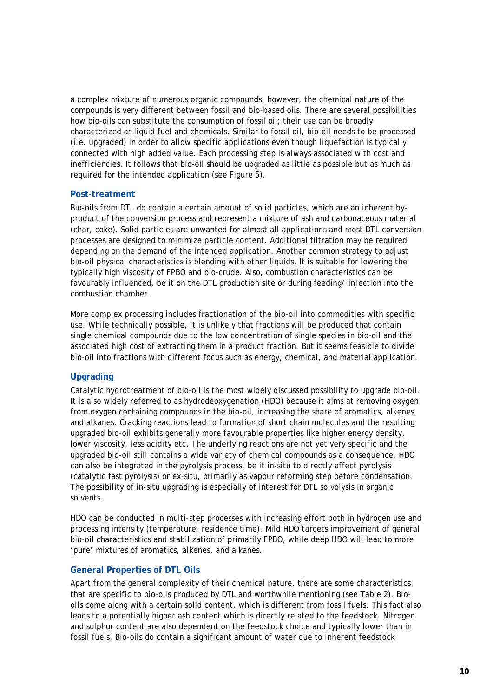a complex mixture of numerous organic compounds; however, the chemical nature of the compounds is very different between fossil and bio-based oils. There are several possibilities how bio-oils can substitute the consumption of fossil oil; their use can be broadly characterized as liquid fuel and chemicals. Similar to fossil oil, bio-oil needs to be processed (i.e. upgraded) in order to allow specific applications even though liquefaction is typically connected with high added value. Each processing step is always associated with cost and inefficiencies. It follows that bio-oil should be upgraded as little as possible but as much as required for the intended application (see Figure 5).

#### **Post-treatment**

Bio-oils from DTL do contain a certain amount of solid particles, which are an inherent byproduct of the conversion process and represent a mixture of ash and carbonaceous material (char, coke). Solid particles are unwanted for almost all applications and most DTL conversion processes are designed to minimize particle content. Additional filtration may be required depending on the demand of the intended application. Another common strategy to adjust bio-oil physical characteristics is blending with other liquids. It is suitable for lowering the typically high viscosity of FPBO and bio-crude. Also, combustion characteristics can be favourably influenced, be it on the DTL production site or during feeding/ injection into the combustion chamber.

More complex processing includes fractionation of the bio-oil into commodities with specific use. While technically possible, it is unlikely that fractions will be produced that contain single chemical compounds due to the low concentration of single species in bio-oil and the associated high cost of extracting them in a product fraction. But it seems feasible to divide bio-oil into fractions with different focus such as energy, chemical, and material application.

#### **Upgrading**

Catalytic hydrotreatment of bio-oil is the most widely discussed possibility to upgrade bio-oil. It is also widely referred to as hydrodeoxygenation (HDO) because it aims at removing oxygen from oxygen containing compounds in the bio-oil, increasing the share of aromatics, alkenes, and alkanes. Cracking reactions lead to formation of short chain molecules and the resulting upgraded bio-oil exhibits generally more favourable properties like higher energy density, lower viscosity, less acidity etc. The underlying reactions are not yet very specific and the upgraded bio-oil still contains a wide variety of chemical compounds as a consequence. HDO can also be integrated in the pyrolysis process, be it in-situ to directly affect pyrolysis (catalytic fast pyrolysis) or ex-situ, primarily as vapour reforming step before condensation. The possibility of in-situ upgrading is especially of interest for DTL solvolysis in organic solvents.

HDO can be conducted in multi-step processes with increasing effort both in hydrogen use and processing intensity (temperature, residence time). Mild HDO targets improvement of general bio-oil characteristics and stabilization of primarily FPBO, while deep HDO will lead to more 'pure' mixtures of aromatics, alkenes, and alkanes.

#### **General Properties of DTL Oils**

Apart from the general complexity of their chemical nature, there are some characteristics that are specific to bio-oils produced by DTL and worthwhile mentioning (see Table 2). Biooils come along with a certain solid content, which is different from fossil fuels. This fact also leads to a potentially higher ash content which is directly related to the feedstock. Nitrogen and sulphur content are also dependent on the feedstock choice and typically lower than in fossil fuels. Bio-oils do contain a significant amount of water due to inherent feedstock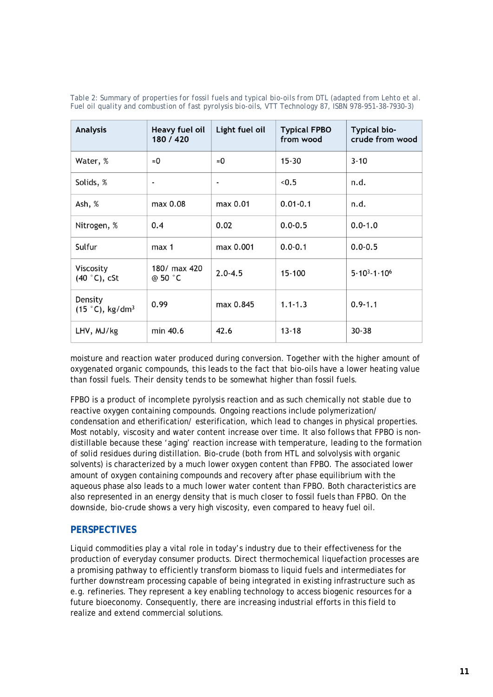| <b>Analysis</b>                           | Heavy fuel oil<br>180 / 420 | Light fuel oil           | <b>Typical FPBO</b><br>from wood | Typical bio-<br>crude from wood |
|-------------------------------------------|-----------------------------|--------------------------|----------------------------------|---------------------------------|
| Water, %                                  | $\approx 0$                 | $\approx$ 0              | $15 - 30$                        | $3 - 10$                        |
| Solids, %                                 | $\blacksquare$              | $\overline{\phantom{a}}$ | < 0.5                            | n.d.                            |
| Ash, %                                    | max 0.08                    | max 0.01                 | $0.01 - 0.1$                     | n.d.                            |
| Nitrogen, %                               | 0.4                         | 0.02                     | $0.0 - 0.5$                      | $0.0 - 1.0$                     |
| Sulfur                                    | max 1                       | max 0.001                | $0.0 - 0.1$                      | $0.0 - 0.5$                     |
| Viscosity<br>$(40 °C)$ , cSt              | 180/ max 420<br>@ 50 °C     | $2.0 - 4.5$              | 15-100                           | $5.10^{3} - 1.10^{6}$           |
| Density<br>$(15 °C)$ , kg/dm <sup>3</sup> | 0.99                        | max 0.845                | $1.1 - 1.3$                      | $0.9 - 1.1$                     |
| LHV, MJ/kg                                | min 40.6                    | 42.6                     | $13 - 18$                        | $30 - 38$                       |

*Table 2: Summary of properties for fossil fuels and typical bio-oils from DTL (adapted from Lehto et al. Fuel oil quality and combustion of fast pyrolysis bio-oils, VTT Technology 87, ISBN 978-951-38-7930-3)* 

moisture and reaction water produced during conversion. Together with the higher amount of oxygenated organic compounds, this leads to the fact that bio-oils have a lower heating value than fossil fuels. Their density tends to be somewhat higher than fossil fuels.

FPBO is a product of incomplete pyrolysis reaction and as such chemically not stable due to reactive oxygen containing compounds. Ongoing reactions include polymerization/ condensation and etherification/ esterification, which lead to changes in physical properties. Most notably, viscosity and water content increase over time. It also follows that FPBO is nondistillable because these 'aging' reaction increase with temperature, leading to the formation of solid residues during distillation. Bio-crude (both from HTL and solvolysis with organic solvents) is characterized by a much lower oxygen content than FPBO. The associated lower amount of oxygen containing compounds and recovery after phase equilibrium with the aqueous phase also leads to a much lower water content than FPBO. Both characteristics are also represented in an energy density that is much closer to fossil fuels than FPBO. On the downside, bio-crude shows a very high viscosity, even compared to heavy fuel oil.

#### **PERSPECTIVES**

Liquid commodities play a vital role in today's industry due to their effectiveness for the production of everyday consumer products. Direct thermochemical liquefaction processes are a promising pathway to efficiently transform biomass to liquid fuels and intermediates for further downstream processing capable of being integrated in existing infrastructure such as e.g. refineries. They represent a key enabling technology to access biogenic resources for a future bioeconomy. Consequently, there are increasing industrial efforts in this field to realize and extend commercial solutions.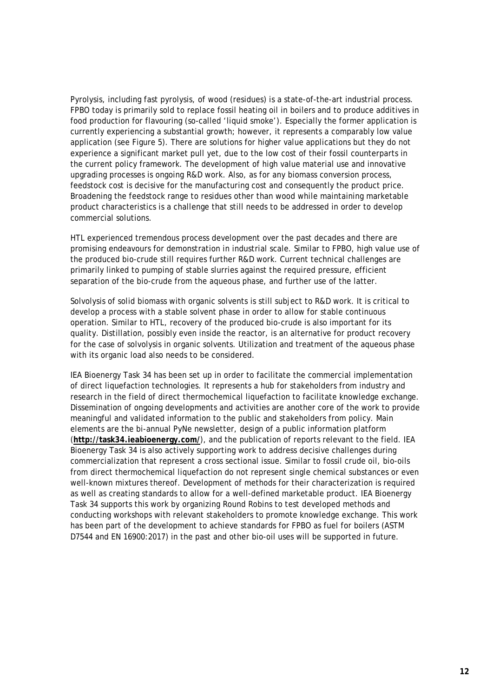Pyrolysis, including fast pyrolysis, of wood (residues) is a state-of-the-art industrial process. FPBO today is primarily sold to replace fossil heating oil in boilers and to produce additives in food production for flavouring (so-called 'liquid smoke'). Especially the former application is currently experiencing a substantial growth; however, it represents a comparably low value application (see Figure 5). There are solutions for higher value applications but they do not experience a significant market pull yet, due to the low cost of their fossil counterparts in the current policy framework. The development of high value material use and innovative upgrading processes is ongoing R&D work. Also, as for any biomass conversion process, feedstock cost is decisive for the manufacturing cost and consequently the product price. Broadening the feedstock range to residues other than wood while maintaining marketable product characteristics is a challenge that still needs to be addressed in order to develop commercial solutions.

HTL experienced tremendous process development over the past decades and there are promising endeavours for demonstration in industrial scale. Similar to FPBO, high value use of the produced bio-crude still requires further R&D work. Current technical challenges are primarily linked to pumping of stable slurries against the required pressure, efficient separation of the bio-crude from the aqueous phase, and further use of the latter.

Solvolysis of solid biomass with organic solvents is still subject to R&D work. It is critical to develop a process with a stable solvent phase in order to allow for stable continuous operation. Similar to HTL, recovery of the produced bio-crude is also important for its quality. Distillation, possibly even inside the reactor, is an alternative for product recovery for the case of solvolysis in organic solvents. Utilization and treatment of the aqueous phase with its organic load also needs to be considered.

IEA Bioenergy Task 34 has been set up in order to facilitate the commercial implementation of direct liquefaction technologies. It represents a hub for stakeholders from industry and research in the field of direct thermochemical liquefaction to facilitate knowledge exchange. Dissemination of ongoing developments and activities are another core of the work to provide meaningful and validated information to the public and stakeholders from policy. Main elements are the bi-annual PyNe newsletter, design of a public information platform (**http://task34.ieabioenergy.com/**), and the publication of reports relevant to the field. IEA Bioenergy Task 34 is also actively supporting work to address decisive challenges during commercialization that represent a cross sectional issue. Similar to fossil crude oil, bio-oils from direct thermochemical liquefaction do not represent single chemical substances or even well-known mixtures thereof. Development of methods for their characterization is required as well as creating standards to allow for a well-defined marketable product. IEA Bioenergy Task 34 supports this work by organizing Round Robins to test developed methods and conducting workshops with relevant stakeholders to promote knowledge exchange. This work has been part of the development to achieve standards for FPBO as fuel for boilers (ASTM D7544 and EN 16900:2017) in the past and other bio-oil uses will be supported in future.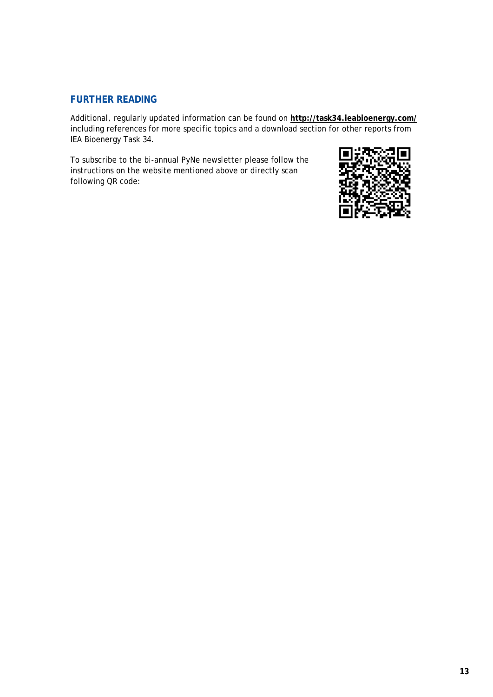#### **FURTHER READING**

Additional, regularly updated information can be found on **http://task34.ieabioenergy.com/** including references for more specific topics and a download section for other reports from IEA Bioenergy Task 34.

To subscribe to the bi-annual PyNe newsletter please follow the instructions on the website mentioned above or directly scan following QR code: